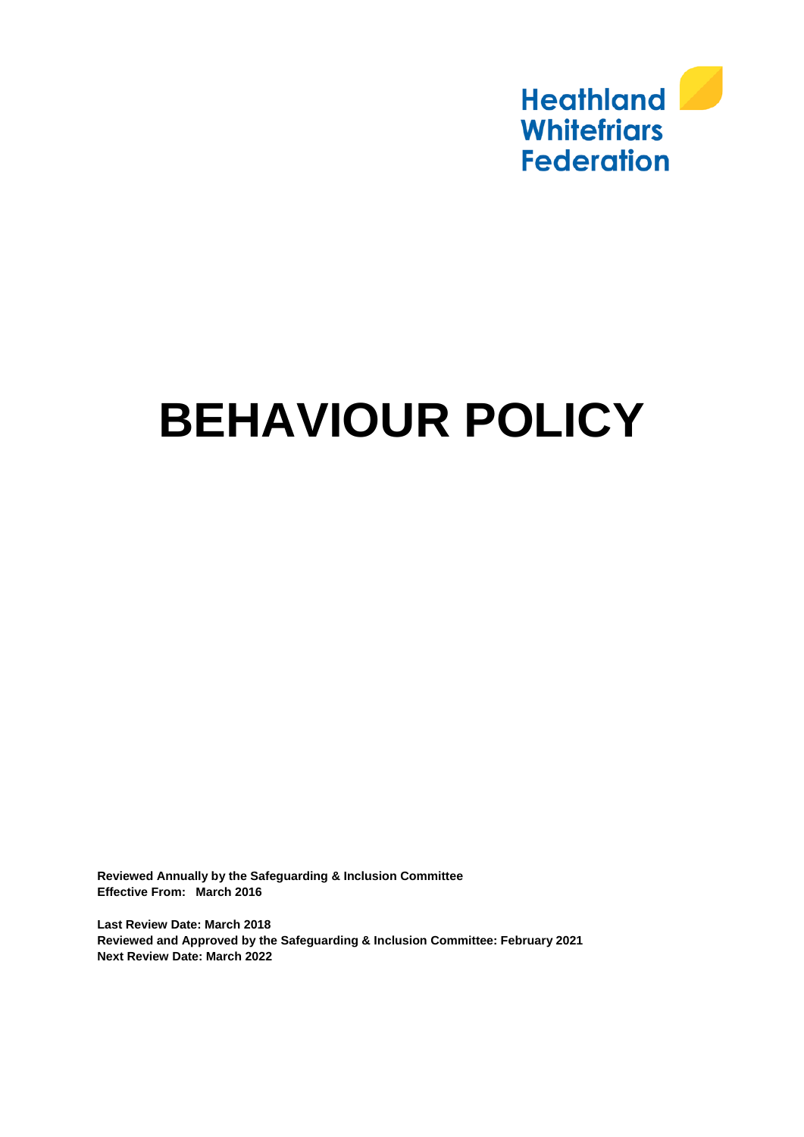

# **BEHAVIOUR POLICY**

**Reviewed Annually by the Safeguarding & Inclusion Committee Effective From: March 2016**

**Last Review Date: March 2018 Reviewed and Approved by the Safeguarding & Inclusion Committee: February 2021 Next Review Date: March 2022**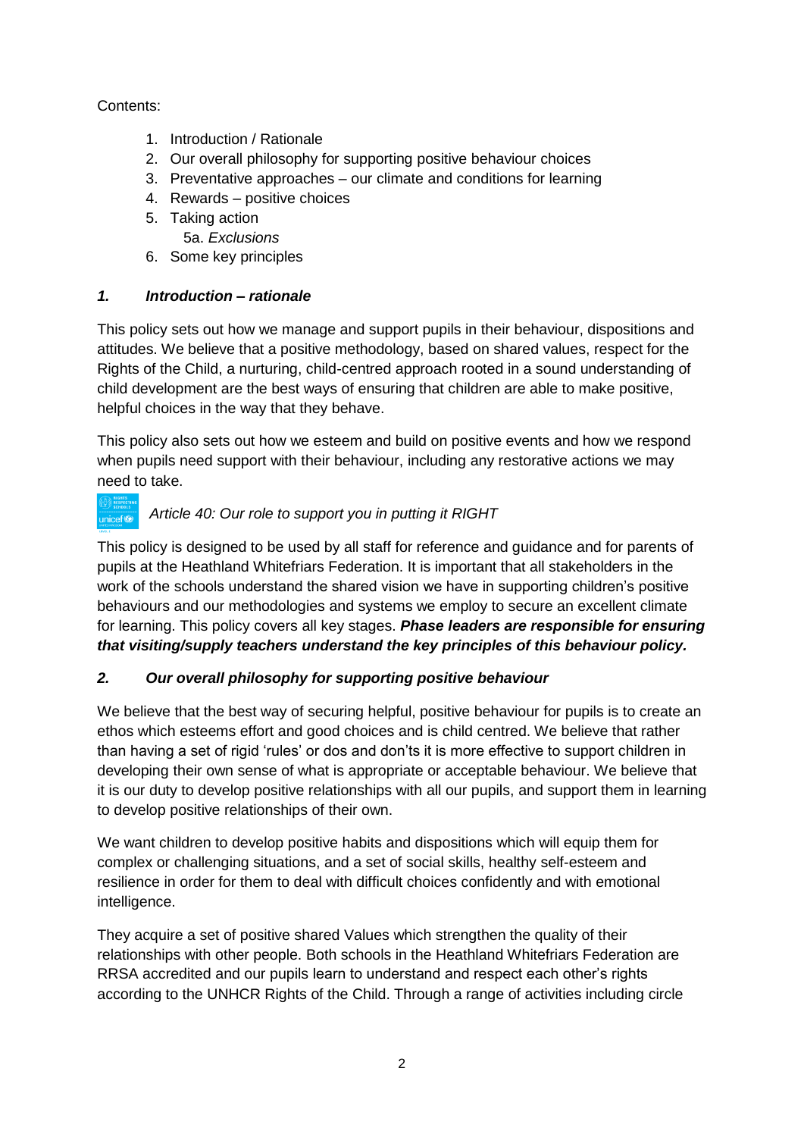Contents:

- 1. Introduction / Rationale
- 2. Our overall philosophy for supporting positive behaviour choices
- 3. Preventative approaches our climate and conditions for learning
- 4. Rewards positive choices
- 5. Taking action
	- 5a. *Exclusions*
- 6. Some key principles

# *1. Introduction – rationale*

This policy sets out how we manage and support pupils in their behaviour, dispositions and attitudes. We believe that a positive methodology, based on shared values, respect for the Rights of the Child, a nurturing, child-centred approach rooted in a sound understanding of child development are the best ways of ensuring that children are able to make positive, helpful choices in the way that they behave.

This policy also sets out how we esteem and build on positive events and how we respond when pupils need support with their behaviour, including any restorative actions we may need to take.

#### *Article 40: Our role to support you in putting it RIGHT* unicef®

This policy is designed to be used by all staff for reference and guidance and for parents of pupils at the Heathland Whitefriars Federation. It is important that all stakeholders in the work of the schools understand the shared vision we have in supporting children's positive behaviours and our methodologies and systems we employ to secure an excellent climate for learning. This policy covers all key stages. *Phase leaders are responsible for ensuring that visiting/supply teachers understand the key principles of this behaviour policy.*

# *2. Our overall philosophy for supporting positive behaviour*

We believe that the best way of securing helpful, positive behaviour for pupils is to create an ethos which esteems effort and good choices and is child centred. We believe that rather than having a set of rigid 'rules' or dos and don'ts it is more effective to support children in developing their own sense of what is appropriate or acceptable behaviour. We believe that it is our duty to develop positive relationships with all our pupils, and support them in learning to develop positive relationships of their own.

We want children to develop positive habits and dispositions which will equip them for complex or challenging situations, and a set of social skills, healthy self-esteem and resilience in order for them to deal with difficult choices confidently and with emotional intelligence.

They acquire a set of positive shared Values which strengthen the quality of their relationships with other people. Both schools in the Heathland Whitefriars Federation are RRSA accredited and our pupils learn to understand and respect each other's rights according to the UNHCR Rights of the Child. Through a range of activities including circle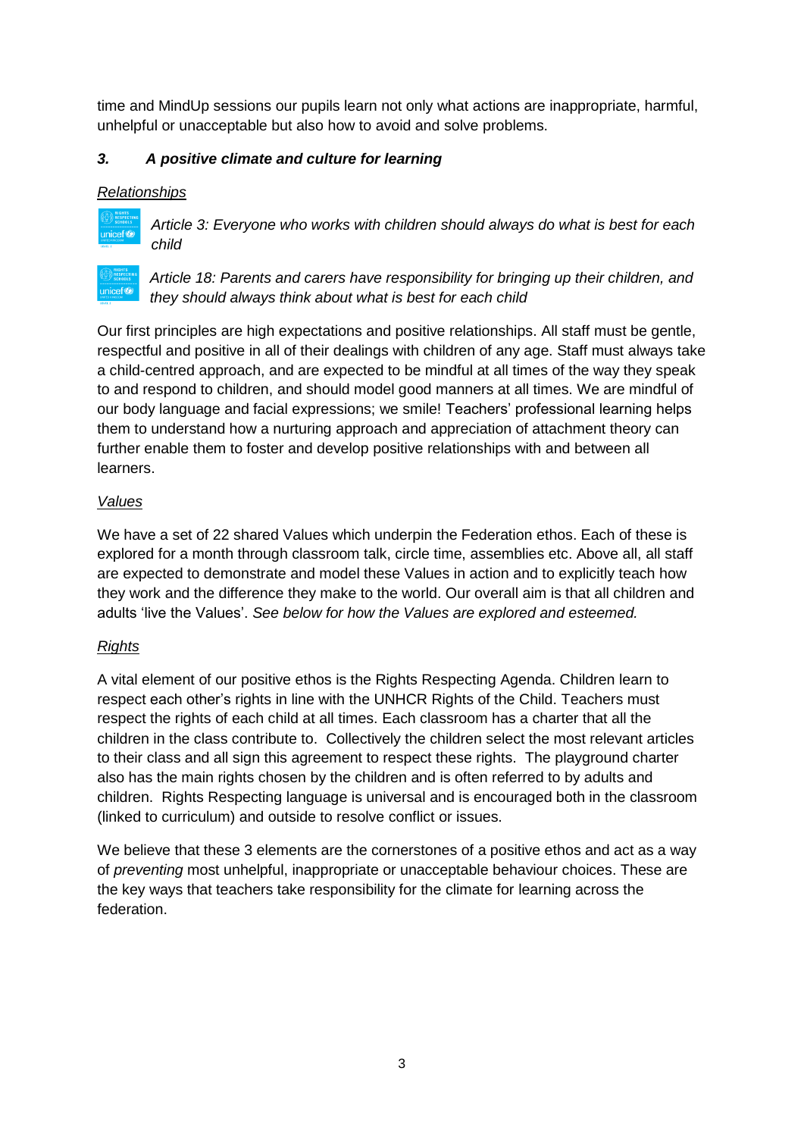time and MindUp sessions our pupils learn not only what actions are inappropriate, harmful, unhelpful or unacceptable but also how to avoid and solve problems.

# *3. A positive climate and culture for learning*

### *Relationships*



*Article 3: Everyone who works with children should always do what is best for each child*



*Article 18: Parents and carers have responsibility for bringing up their children, and they should always think about what is best for each child*

Our first principles are high expectations and positive relationships. All staff must be gentle, respectful and positive in all of their dealings with children of any age. Staff must always take a child-centred approach, and are expected to be mindful at all times of the way they speak to and respond to children, and should model good manners at all times. We are mindful of our body language and facial expressions; we smile! Teachers' professional learning helps them to understand how a nurturing approach and appreciation of attachment theory can further enable them to foster and develop positive relationships with and between all learners.

# *Values*

We have a set of 22 shared Values which underpin the Federation ethos. Each of these is explored for a month through classroom talk, circle time, assemblies etc. Above all, all staff are expected to demonstrate and model these Values in action and to explicitly teach how they work and the difference they make to the world. Our overall aim is that all children and adults 'live the Values'. *See below for how the Values are explored and esteemed.*

# *Rights*

A vital element of our positive ethos is the Rights Respecting Agenda. Children learn to respect each other's rights in line with the UNHCR Rights of the Child. Teachers must respect the rights of each child at all times. Each classroom has a charter that all the children in the class contribute to. Collectively the children select the most relevant articles to their class and all sign this agreement to respect these rights. The playground charter also has the main rights chosen by the children and is often referred to by adults and children. Rights Respecting language is universal and is encouraged both in the classroom (linked to curriculum) and outside to resolve conflict or issues.

We believe that these 3 elements are the cornerstones of a positive ethos and act as a way of *preventing* most unhelpful, inappropriate or unacceptable behaviour choices. These are the key ways that teachers take responsibility for the climate for learning across the federation.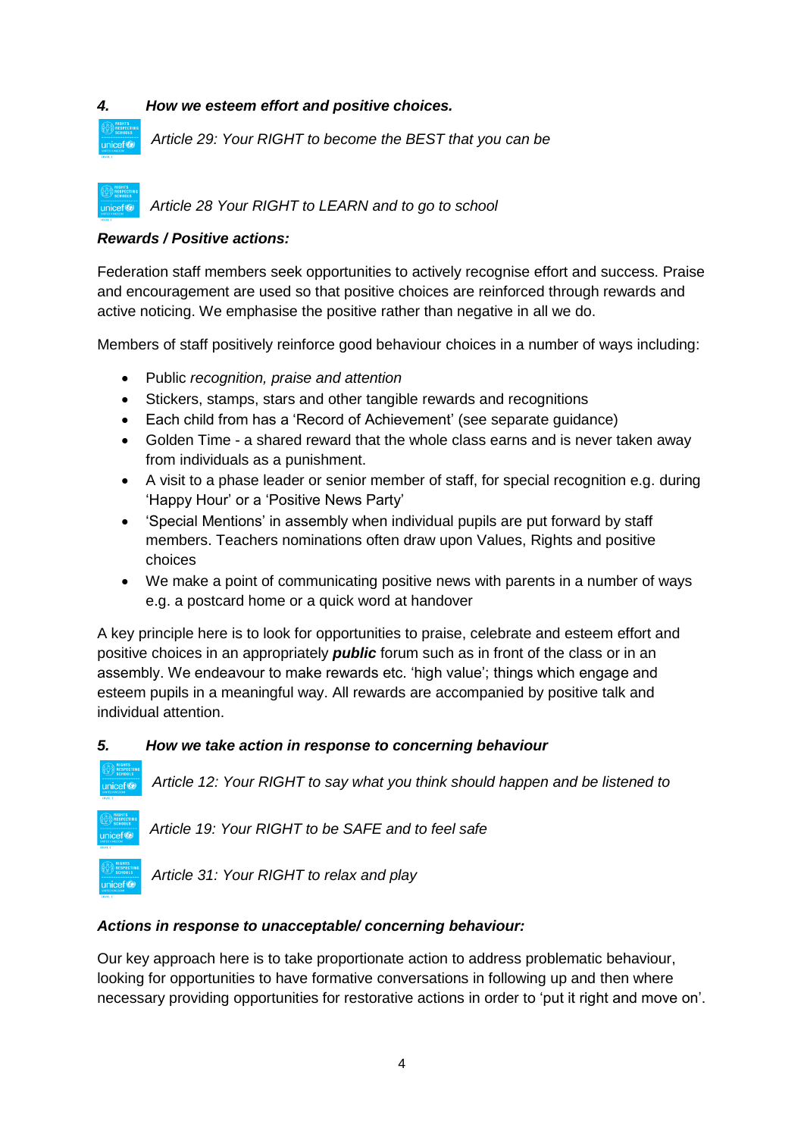#### *4. How we esteem effort and positive choices.*

*Article 29: Your RIGHT to become the BEST that you can be*

*Article 28 Your RIGHT to LEARN and to go to school* unicef<sup>(2)</sup>

#### *Rewards / Positive actions:*

unicef<sup>(2)</sup>

Federation staff members seek opportunities to actively recognise effort and success. Praise and encouragement are used so that positive choices are reinforced through rewards and active noticing. We emphasise the positive rather than negative in all we do.

Members of staff positively reinforce good behaviour choices in a number of ways including:

- Public *recognition, praise and attention*
- Stickers, stamps, stars and other tangible rewards and recognitions
- Each child from has a 'Record of Achievement' (see separate guidance)
- Golden Time a shared reward that the whole class earns and is never taken away from individuals as a punishment.
- A visit to a phase leader or senior member of staff, for special recognition e.g. during 'Happy Hour' or a 'Positive News Party'
- 'Special Mentions' in assembly when individual pupils are put forward by staff members. Teachers nominations often draw upon Values, Rights and positive choices
- We make a point of communicating positive news with parents in a number of ways e.g. a postcard home or a quick word at handover

A key principle here is to look for opportunities to praise, celebrate and esteem effort and positive choices in an appropriately *public* forum such as in front of the class or in an assembly. We endeavour to make rewards etc. 'high value'; things which engage and esteem pupils in a meaningful way. All rewards are accompanied by positive talk and individual attention.

#### *5. How we take action in response to concerning behaviour*

*Article 12: Your RIGHT to say what you think should happen and be listened to*



unicef<sup>(2)</sup>

*Article 19: Your RIGHT to be SAFE and to feel safe* 

*Article 31: Your RIGHT to relax and play*

#### *Actions in response to unacceptable/ concerning behaviour:*

Our key approach here is to take proportionate action to address problematic behaviour, looking for opportunities to have formative conversations in following up and then where necessary providing opportunities for restorative actions in order to 'put it right and move on'.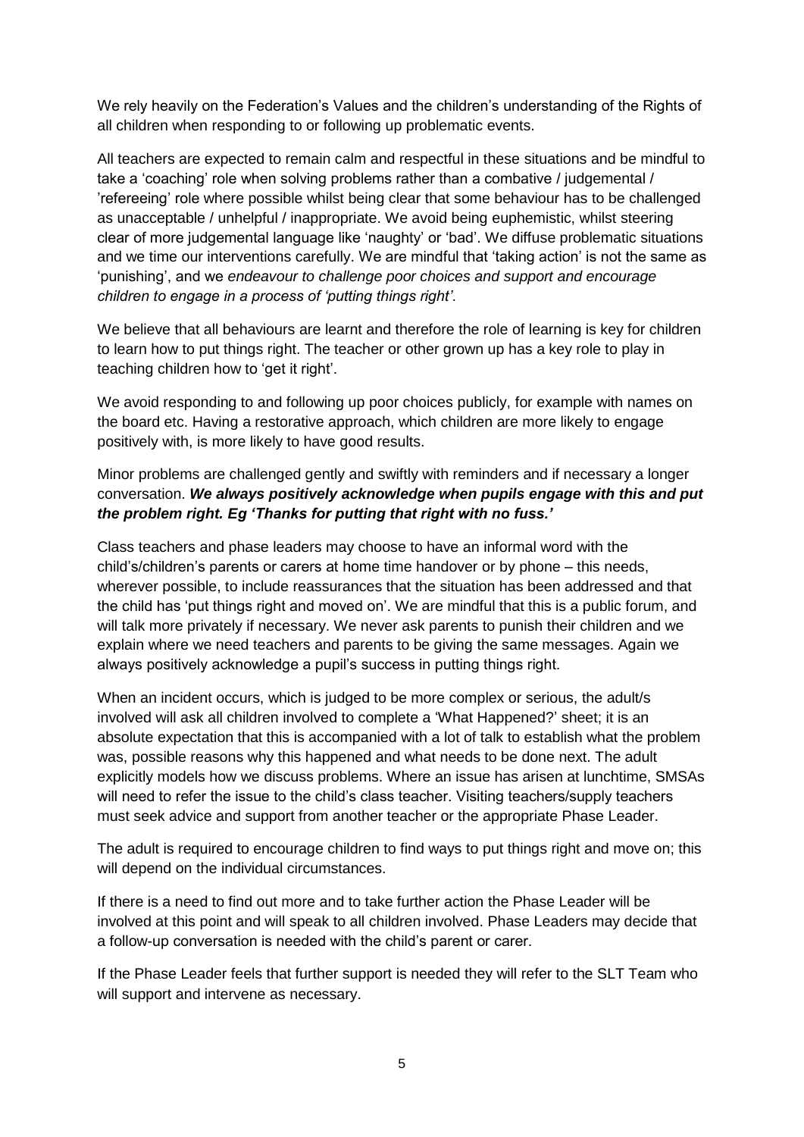We rely heavily on the Federation's Values and the children's understanding of the Rights of all children when responding to or following up problematic events.

All teachers are expected to remain calm and respectful in these situations and be mindful to take a 'coaching' role when solving problems rather than a combative / judgemental / 'refereeing' role where possible whilst being clear that some behaviour has to be challenged as unacceptable / unhelpful / inappropriate. We avoid being euphemistic, whilst steering clear of more judgemental language like 'naughty' or 'bad'. We diffuse problematic situations and we time our interventions carefully. We are mindful that 'taking action' is not the same as 'punishing', and we *endeavour to challenge poor choices and support and encourage children to engage in a process of 'putting things right'*.

We believe that all behaviours are learnt and therefore the role of learning is key for children to learn how to put things right. The teacher or other grown up has a key role to play in teaching children how to 'get it right'.

We avoid responding to and following up poor choices publicly, for example with names on the board etc. Having a restorative approach, which children are more likely to engage positively with, is more likely to have good results.

Minor problems are challenged gently and swiftly with reminders and if necessary a longer conversation. *We always positively acknowledge when pupils engage with this and put the problem right. Eg 'Thanks for putting that right with no fuss.'*

Class teachers and phase leaders may choose to have an informal word with the child's/children's parents or carers at home time handover or by phone – this needs, wherever possible, to include reassurances that the situation has been addressed and that the child has 'put things right and moved on'. We are mindful that this is a public forum, and will talk more privately if necessary. We never ask parents to punish their children and we explain where we need teachers and parents to be giving the same messages. Again we always positively acknowledge a pupil's success in putting things right.

When an incident occurs, which is judged to be more complex or serious, the adult/s involved will ask all children involved to complete a 'What Happened?' sheet; it is an absolute expectation that this is accompanied with a lot of talk to establish what the problem was, possible reasons why this happened and what needs to be done next. The adult explicitly models how we discuss problems. Where an issue has arisen at lunchtime, SMSAs will need to refer the issue to the child's class teacher. Visiting teachers/supply teachers must seek advice and support from another teacher or the appropriate Phase Leader.

The adult is required to encourage children to find ways to put things right and move on; this will depend on the individual circumstances.

If there is a need to find out more and to take further action the Phase Leader will be involved at this point and will speak to all children involved. Phase Leaders may decide that a follow-up conversation is needed with the child's parent or carer.

If the Phase Leader feels that further support is needed they will refer to the SLT Team who will support and intervene as necessary.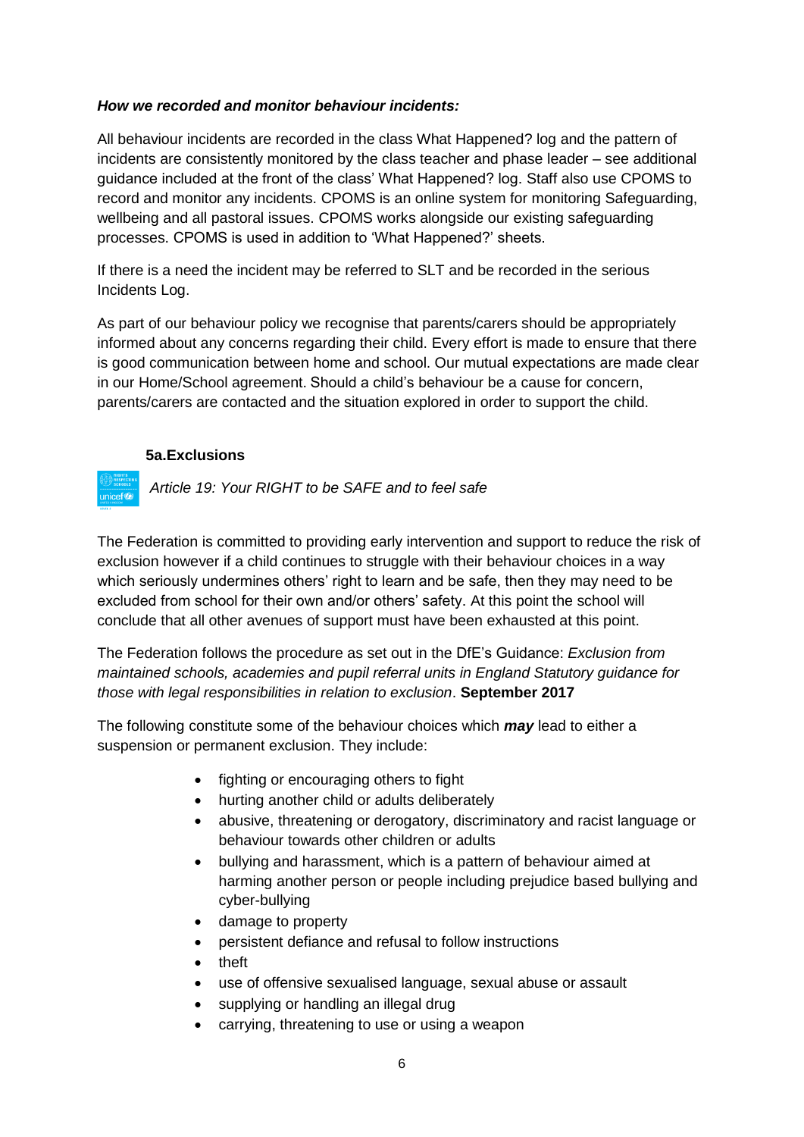#### *How we recorded and monitor behaviour incidents:*

All behaviour incidents are recorded in the class What Happened? log and the pattern of incidents are consistently monitored by the class teacher and phase leader – see additional guidance included at the front of the class' What Happened? log. Staff also use CPOMS to record and monitor any incidents. CPOMS is an online system for monitoring Safeguarding, wellbeing and all pastoral issues. CPOMS works alongside our existing safeguarding processes. CPOMS is used in addition to 'What Happened?' sheets.

If there is a need the incident may be referred to SLT and be recorded in the serious Incidents Log.

As part of our behaviour policy we recognise that parents/carers should be appropriately informed about any concerns regarding their child. Every effort is made to ensure that there is good communication between home and school. Our mutual expectations are made clear in our Home/School agreement. Should a child's behaviour be a cause for concern, parents/carers are contacted and the situation explored in order to support the child.

#### **5a.Exclusions**

unicef<sup>(2</sup>

*Article 19: Your RIGHT to be SAFE and to feel safe* 

The Federation is committed to providing early intervention and support to reduce the risk of exclusion however if a child continues to struggle with their behaviour choices in a way which seriously undermines others' right to learn and be safe, then they may need to be excluded from school for their own and/or others' safety. At this point the school will conclude that all other avenues of support must have been exhausted at this point.

The Federation follows the procedure as set out in the DfE's Guidance: *Exclusion from maintained schools, academies and pupil referral units in England Statutory guidance for those with legal responsibilities in relation to exclusion*. **September 2017**

The following constitute some of the behaviour choices which *may* lead to either a suspension or permanent exclusion. They include:

- fighting or encouraging others to fight
- hurting another child or adults deliberately
- abusive, threatening or derogatory, discriminatory and racist language or behaviour towards other children or adults
- bullying and harassment, which is a pattern of behaviour aimed at harming another person or people including prejudice based bullying and cyber-bullying
- damage to property
- persistent defiance and refusal to follow instructions
- theft
- use of offensive sexualised language, sexual abuse or assault
- supplying or handling an illegal drug
- carrying, threatening to use or using a weapon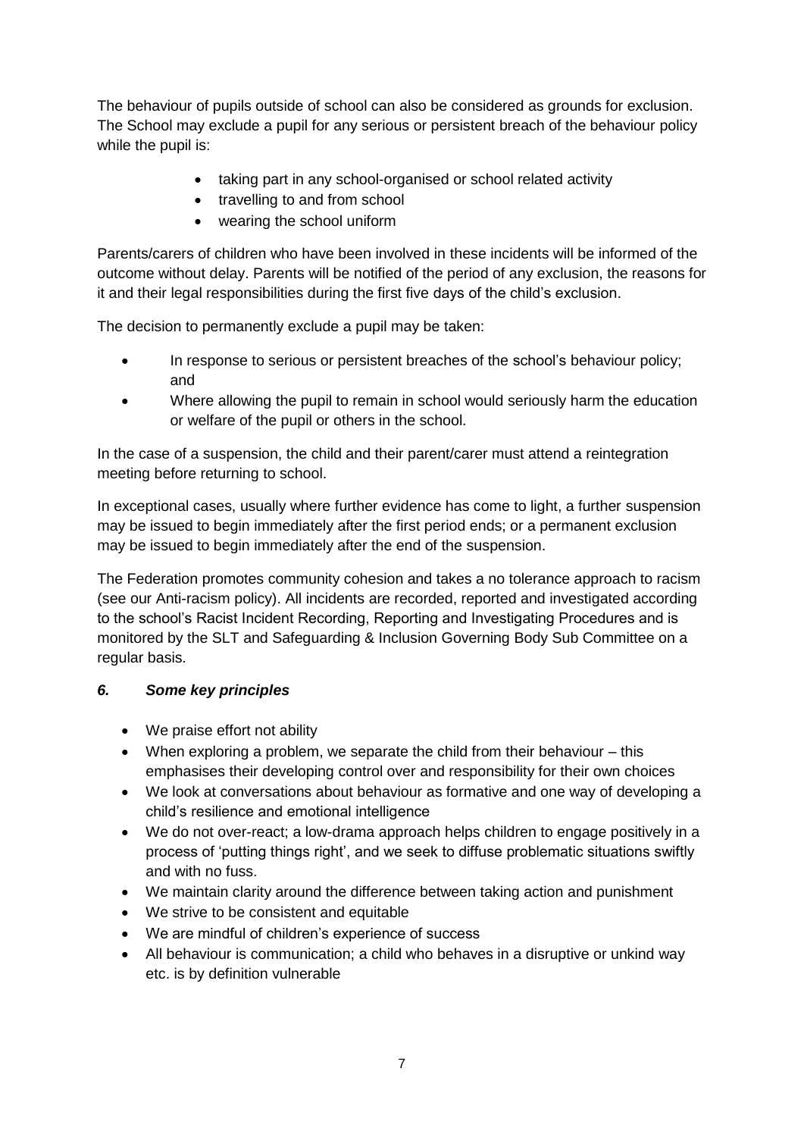The behaviour of pupils outside of school can also be considered as grounds for exclusion. The School may exclude a pupil for any serious or persistent breach of the behaviour policy while the pupil is:

- taking part in any school-organised or school related activity
- travelling to and from school
- wearing the school uniform

Parents/carers of children who have been involved in these incidents will be informed of the outcome without delay. Parents will be notified of the period of any exclusion, the reasons for it and their legal responsibilities during the first five days of the child's exclusion.

The decision to permanently exclude a pupil may be taken:

- In response to serious or persistent breaches of the school's behaviour policy; and
- Where allowing the pupil to remain in school would seriously harm the education or welfare of the pupil or others in the school.

In the case of a suspension, the child and their parent/carer must attend a reintegration meeting before returning to school.

In exceptional cases, usually where further evidence has come to light, a further suspension may be issued to begin immediately after the first period ends; or a permanent exclusion may be issued to begin immediately after the end of the suspension.

The Federation promotes community cohesion and takes a no tolerance approach to racism (see our Anti-racism policy). All incidents are recorded, reported and investigated according to the school's Racist Incident Recording, Reporting and Investigating Procedures and is monitored by the SLT and Safeguarding & Inclusion Governing Body Sub Committee on a regular basis.

# *6. Some key principles*

- We praise effort not ability
- When exploring a problem, we separate the child from their behaviour this emphasises their developing control over and responsibility for their own choices
- We look at conversations about behaviour as formative and one way of developing a child's resilience and emotional intelligence
- We do not over-react; a low-drama approach helps children to engage positively in a process of 'putting things right', and we seek to diffuse problematic situations swiftly and with no fuss.
- We maintain clarity around the difference between taking action and punishment
- We strive to be consistent and equitable
- We are mindful of children's experience of success
- All behaviour is communication: a child who behaves in a disruptive or unkind way etc. is by definition vulnerable